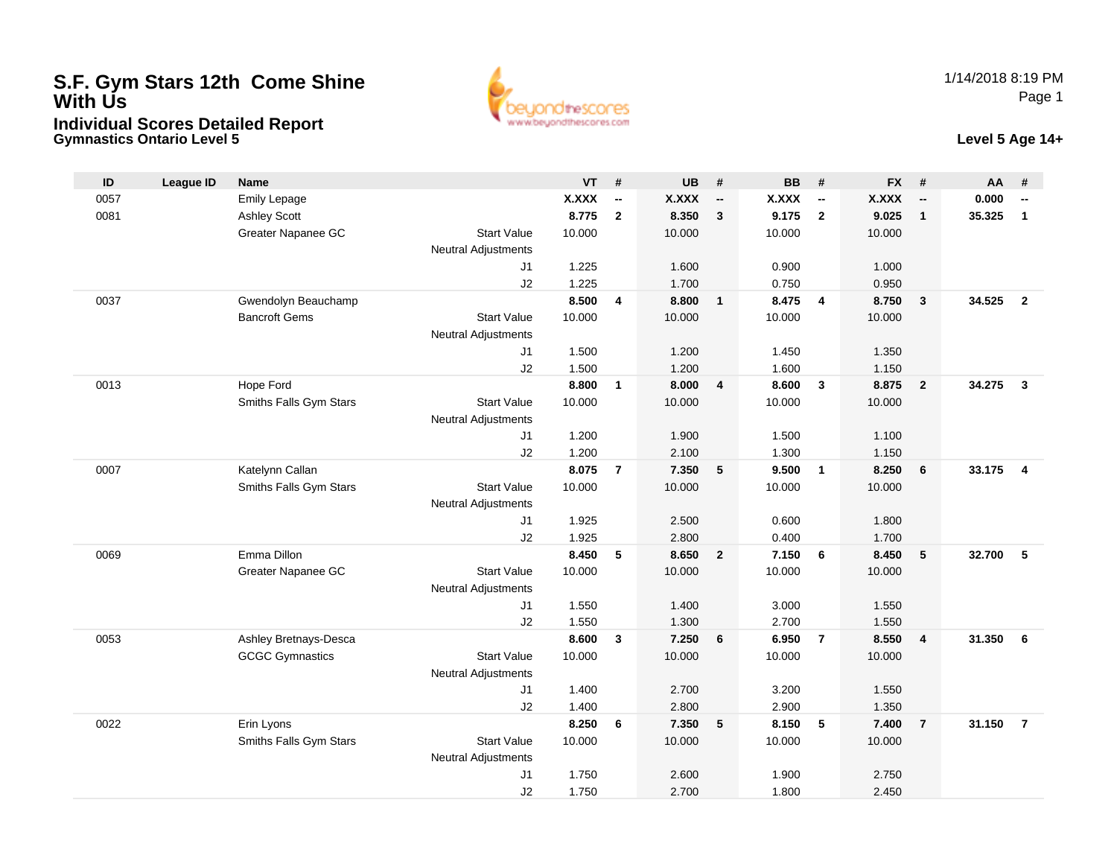## **S.F. Gym Stars 12th Come Shine With UsIndividual Scores Detailed Report**



**Gymnastics Ontario Level 5 Level 5 Age 14+**

| ID   | <b>League ID</b> | <b>Name</b>            |                            | <b>VT</b> | #                        | <b>UB</b>    | #                        | <b>BB</b>    | #                        | <b>FX</b> | #                        | AA     | #                        |
|------|------------------|------------------------|----------------------------|-----------|--------------------------|--------------|--------------------------|--------------|--------------------------|-----------|--------------------------|--------|--------------------------|
| 0057 |                  | <b>Emily Lepage</b>    |                            | X.XXX     | $\overline{\phantom{a}}$ | <b>X.XXX</b> | $\overline{\phantom{a}}$ | <b>X.XXX</b> | $\overline{\phantom{a}}$ | X.XXX     | $\overline{\phantom{a}}$ | 0.000  | $\overline{\phantom{a}}$ |
| 0081 |                  | <b>Ashley Scott</b>    |                            | 8.775     | $\mathbf{2}$             | 8.350        | $\overline{\mathbf{3}}$  | 9.175        | $\overline{2}$           | 9.025     | $\mathbf{1}$             | 35.325 | $\mathbf{1}$             |
|      |                  | Greater Napanee GC     | <b>Start Value</b>         | 10.000    |                          | 10.000       |                          | 10.000       |                          | 10.000    |                          |        |                          |
|      |                  |                        | <b>Neutral Adjustments</b> |           |                          |              |                          |              |                          |           |                          |        |                          |
|      |                  |                        | J1                         | 1.225     |                          | 1.600        |                          | 0.900        |                          | 1.000     |                          |        |                          |
|      |                  |                        | J2                         | 1.225     |                          | 1.700        |                          | 0.750        |                          | 0.950     |                          |        |                          |
| 0037 |                  | Gwendolyn Beauchamp    |                            | 8.500     | $\overline{4}$           | 8.800        | $\overline{\mathbf{1}}$  | 8.475        | $\overline{\mathbf{4}}$  | 8.750     | $\mathbf{3}$             | 34.525 | $\overline{\mathbf{2}}$  |
|      |                  | <b>Bancroft Gems</b>   | <b>Start Value</b>         | 10.000    |                          | 10.000       |                          | 10.000       |                          | 10.000    |                          |        |                          |
|      |                  |                        | <b>Neutral Adjustments</b> |           |                          |              |                          |              |                          |           |                          |        |                          |
|      |                  |                        | J1                         | 1.500     |                          | 1.200        |                          | 1.450        |                          | 1.350     |                          |        |                          |
|      |                  |                        | J2                         | 1.500     |                          | 1.200        |                          | 1.600        |                          | 1.150     |                          |        |                          |
| 0013 |                  | Hope Ford              |                            | 8.800     | $\mathbf{1}$             | 8.000        | $\overline{4}$           | 8.600        | $\mathbf{3}$             | 8.875     | $\overline{2}$           | 34.275 | $\overline{\mathbf{3}}$  |
|      |                  | Smiths Falls Gym Stars | <b>Start Value</b>         | 10.000    |                          | 10.000       |                          | 10.000       |                          | 10.000    |                          |        |                          |
|      |                  |                        | <b>Neutral Adjustments</b> |           |                          |              |                          |              |                          |           |                          |        |                          |
|      |                  |                        | J <sub>1</sub>             | 1.200     |                          | 1.900        |                          | 1.500        |                          | 1.100     |                          |        |                          |
|      |                  |                        | J2                         | 1.200     |                          | 2.100        |                          | 1.300        |                          | 1.150     |                          |        |                          |
| 0007 |                  | Katelynn Callan        |                            | 8.075     | $\overline{7}$           | 7.350        | $5\phantom{.0}$          | 9.500        | $\mathbf{1}$             | 8.250     | $6\phantom{1}6$          | 33.175 | $\overline{4}$           |
|      |                  | Smiths Falls Gym Stars | <b>Start Value</b>         | 10.000    |                          | 10.000       |                          | 10.000       |                          | 10.000    |                          |        |                          |
|      |                  |                        | <b>Neutral Adjustments</b> |           |                          |              |                          |              |                          |           |                          |        |                          |
|      |                  |                        | J1                         | 1.925     |                          | 2.500        |                          | 0.600        |                          | 1.800     |                          |        |                          |
|      |                  |                        | J2                         | 1.925     |                          | 2.800        |                          | 0.400        |                          | 1.700     |                          |        |                          |
| 0069 |                  | Emma Dillon            |                            | 8.450     | 5                        | 8.650        | $\overline{2}$           | 7.150        | 6                        | 8.450     | 5                        | 32.700 | 5                        |
|      |                  | Greater Napanee GC     | <b>Start Value</b>         | 10.000    |                          | 10.000       |                          | 10.000       |                          | 10.000    |                          |        |                          |
|      |                  |                        | <b>Neutral Adjustments</b> |           |                          |              |                          |              |                          |           |                          |        |                          |
|      |                  |                        | J <sub>1</sub>             | 1.550     |                          | 1.400        |                          | 3.000        |                          | 1.550     |                          |        |                          |
|      |                  |                        | J2                         | 1.550     |                          | 1.300        |                          | 2.700        |                          | 1.550     |                          |        |                          |
| 0053 |                  | Ashley Bretnays-Desca  |                            | 8.600     | $\mathbf{3}$             | 7.250        | 6                        | 6.950        | $\overline{7}$           | 8.550     | 4                        | 31.350 | 6                        |
|      |                  | <b>GCGC Gymnastics</b> | <b>Start Value</b>         | 10.000    |                          | 10.000       |                          | 10.000       |                          | 10.000    |                          |        |                          |
|      |                  |                        | <b>Neutral Adjustments</b> |           |                          |              |                          |              |                          |           |                          |        |                          |
|      |                  |                        | J <sub>1</sub>             | 1.400     |                          | 2.700        |                          | 3.200        |                          | 1.550     |                          |        |                          |
|      |                  |                        | J2                         | 1.400     |                          | 2.800        |                          | 2.900        |                          | 1.350     |                          |        |                          |
| 0022 |                  | Erin Lyons             |                            | 8.250     | 6                        | 7.350        | 5                        | 8.150        | 5                        | 7.400     | $\overline{7}$           | 31.150 | $\overline{7}$           |
|      |                  | Smiths Falls Gym Stars | <b>Start Value</b>         | 10.000    |                          | 10.000       |                          | 10.000       |                          | 10.000    |                          |        |                          |
|      |                  |                        | <b>Neutral Adjustments</b> |           |                          |              |                          |              |                          |           |                          |        |                          |
|      |                  |                        | J <sub>1</sub>             | 1.750     |                          | 2.600        |                          | 1.900        |                          | 2.750     |                          |        |                          |
|      |                  |                        | J2                         | 1.750     |                          | 2.700        |                          | 1.800        |                          | 2.450     |                          |        |                          |